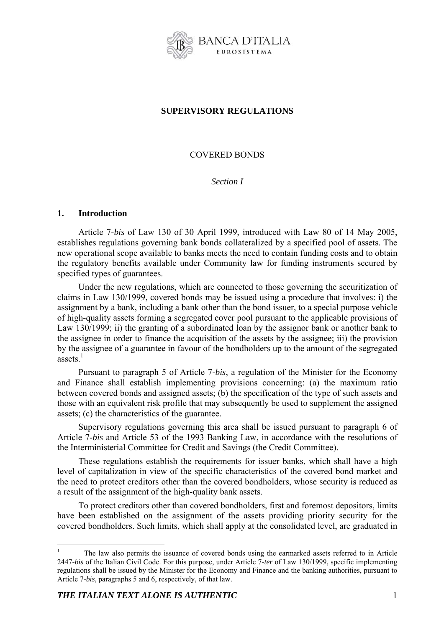

# **SUPERVISORY REGULATIONS**

# COVERED BONDS

*Section I* 

## **1. Introduction**

Article 7-*bis* of Law 130 of 30 April 1999, introduced with Law 80 of 14 May 2005, establishes regulations governing bank bonds collateralized by a specified pool of assets. The new operational scope available to banks meets the need to contain funding costs and to obtain the regulatory benefits available under Community law for funding instruments secured by specified types of guarantees.

Under the new regulations, which are connected to those governing the securitization of claims in Law 130/1999, covered bonds may be issued using a procedure that involves: i) the assignment by a bank, including a bank other than the bond issuer, to a special purpose vehicle of high-quality assets forming a segregated cover pool pursuant to the applicable provisions of Law 130/1999; ii) the granting of a subordinated loan by the assignor bank or another bank to the assignee in order to finance the acquisition of the assets by the assignee; iii) the provision by the assignee of a guarantee in favour of the bondholders up to the amount of the segregated assets $1$ 

Pursuant to paragraph 5 of Article 7-*bis*, a regulation of the Minister for the Economy and Finance shall establish implementing provisions concerning: (a) the maximum ratio between covered bonds and assigned assets; (b) the specification of the type of such assets and those with an equivalent risk profile that may subsequently be used to supplement the assigned assets; (c) the characteristics of the guarantee.

Supervisory regulations governing this area shall be issued pursuant to paragraph 6 of Article 7-*bis* and Article 53 of the 1993 Banking Law, in accordance with the resolutions of the Interministerial Committee for Credit and Savings (the Credit Committee).

These regulations establish the requirements for issuer banks, which shall have a high level of capitalization in view of the specific characteristics of the covered bond market and the need to protect creditors other than the covered bondholders, whose security is reduced as a result of the assignment of the high-quality bank assets.

To protect creditors other than covered bondholders, first and foremost depositors, limits have been established on the assignment of the assets providing priority security for the covered bondholders. Such limits, which shall apply at the consolidated level, are graduated in

1

<sup>1</sup> The law also permits the issuance of covered bonds using the earmarked assets referred to in Article 2447-*bis* of the Italian Civil Code. For this purpose, under Article 7-*ter* of Law 130/1999, specific implementing regulations shall be issued by the Minister for the Economy and Finance and the banking authorities, pursuant to Article 7-*bis*, paragraphs 5 and 6, respectively, of that law.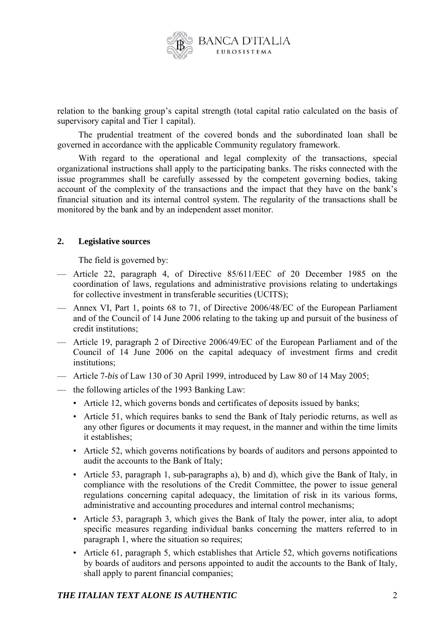

relation to the banking group's capital strength (total capital ratio calculated on the basis of supervisory capital and Tier 1 capital).

The prudential treatment of the covered bonds and the subordinated loan shall be governed in accordance with the applicable Community regulatory framework.

With regard to the operational and legal complexity of the transactions, special organizational instructions shall apply to the participating banks. The risks connected with the issue programmes shall be carefully assessed by the competent governing bodies, taking account of the complexity of the transactions and the impact that they have on the bank's financial situation and its internal control system. The regularity of the transactions shall be monitored by the bank and by an independent asset monitor.

## **2. Legislative sources**

The field is governed by:

- Article 22, paragraph 4, of Directive 85/611/EEC of 20 December 1985 on the coordination of laws, regulations and administrative provisions relating to undertakings for collective investment in transferable securities (UCITS);
- Annex VI, Part 1, points 68 to 71, of Directive 2006/48/EC of the European Parliament and of the Council of 14 June 2006 relating to the taking up and pursuit of the business of credit institutions;
- Article 19, paragraph 2 of Directive 2006/49/EC of the European Parliament and of the Council of 14 June 2006 on the capital adequacy of investment firms and credit institutions;
- Article 7-*bis* of Law 130 of 30 April 1999, introduced by Law 80 of 14 May 2005;
- the following articles of the 1993 Banking Law:
	- Article 12, which governs bonds and certificates of deposits issued by banks;
	- Article 51, which requires banks to send the Bank of Italy periodic returns, as well as any other figures or documents it may request, in the manner and within the time limits it establishes;
	- Article 52, which governs notifications by boards of auditors and persons appointed to audit the accounts to the Bank of Italy;
	- Article 53, paragraph 1, sub-paragraphs a), b) and d), which give the Bank of Italy, in compliance with the resolutions of the Credit Committee, the power to issue general regulations concerning capital adequacy, the limitation of risk in its various forms, administrative and accounting procedures and internal control mechanisms;
	- Article 53, paragraph 3, which gives the Bank of Italy the power, inter alia, to adopt specific measures regarding individual banks concerning the matters referred to in paragraph 1, where the situation so requires;
	- Article 61, paragraph 5, which establishes that Article 52, which governs notifications by boards of auditors and persons appointed to audit the accounts to the Bank of Italy, shall apply to parent financial companies;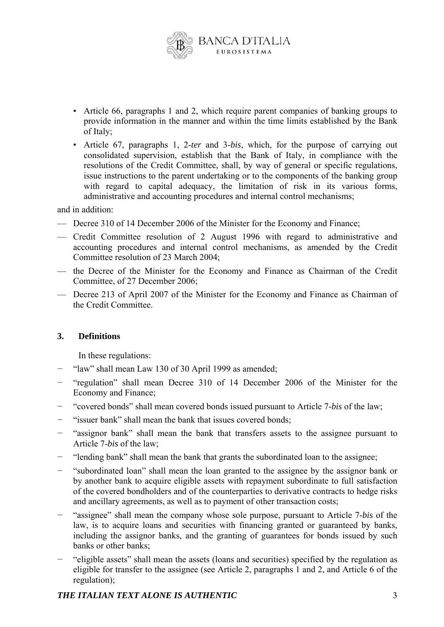

- Article 66, paragraphs 1 and 2, which require parent companies of banking groups to provide information in the manner and within the time limits established by the Bank of Italy;
- Article 67, paragraphs 1, 2-*ter* and 3-*bis*, which, for the purpose of carrying out consolidated supervision, establish that the Bank of Italy, in compliance with the resolutions of the Credit Committee, shall, by way of general or specific regulations, issue instructions to the parent undertaking or to the components of the banking group with regard to capital adequacy, the limitation of risk in its various forms, administrative and accounting procedures and internal control mechanisms;

and in addition:

- Decree 310 of 14 December 2006 of the Minister for the Economy and Finance;
- Credit Committee resolution of 2 August 1996 with regard to administrative and accounting procedures and internal control mechanisms, as amended by the Credit Committee resolution of 23 March 2004;
- the Decree of the Minister for the Economy and Finance as Chairman of the Credit Committee, of 27 December 2006;
- Decree 213 of April 2007 of the Minister for the Economy and Finance as Chairman of the Credit Committee.

#### **3. Definitions**

In these regulations:

- "law" shall mean Law 130 of 30 April 1999 as amended;
- − "regulation" shall mean Decree 310 of 14 December 2006 of the Minister for the Economy and Finance;
- − "covered bonds" shall mean covered bonds issued pursuant to Article 7-*bis* of the law;
- − "issuer bank" shall mean the bank that issues covered bonds;
- − "assignor bank" shall mean the bank that transfers assets to the assignee pursuant to Article 7-*bis* of the law;
- − "lending bank" shall mean the bank that grants the subordinated loan to the assignee;
- − "subordinated loan" shall mean the loan granted to the assignee by the assignor bank or by another bank to acquire eligible assets with repayment subordinate to full satisfaction of the covered bondholders and of the counterparties to derivative contracts to hedge risks and ancillary agreements, as well as to payment of other transaction costs;
- − "assignee" shall mean the company whose sole purpose, pursuant to Article 7-*bis* of the law, is to acquire loans and securities with financing granted or guaranteed by banks, including the assignor banks, and the granting of guarantees for bonds issued by such banks or other banks;
- − "eligible assets" shall mean the assets (loans and securities) specified by the regulation as eligible for transfer to the assignee (see Article 2, paragraphs 1 and 2, and Article 6 of the regulation);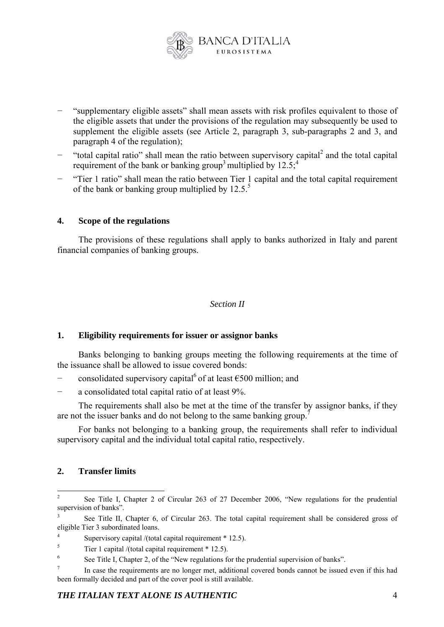

- − "supplementary eligible assets" shall mean assets with risk profiles equivalent to those of the eligible assets that under the provisions of the regulation may subsequently be used to supplement the eligible assets (see Article 2, paragraph 3, sub-paragraphs 2 and 3, and paragraph 4 of the regulation);
- − "total capital ratio" shall mean the ratio between supervisory capital<sup>2</sup> and the total capital requirement of the bank or banking group<sup>3</sup> multiplied by  $12.5$ ;<sup>4</sup>
- − "Tier 1 ratio" shall mean the ratio between Tier 1 capital and the total capital requirement of the bank or banking group multiplied by  $12.5<sup>5</sup>$

## **4. Scope of the regulations**

The provisions of these regulations shall apply to banks authorized in Italy and parent financial companies of banking groups.

#### *Section II*

#### **1. Eligibility requirements for issuer or assignor banks**

Banks belonging to banking groups meeting the following requirements at the time of the issuance shall be allowed to issue covered bonds:

- consolidated supervisory capital<sup>6</sup> of at least  $\epsilon$ 500 million: and
- − a consolidated total capital ratio of at least 9%.

The requirements shall also be met at the time of the transfer by assignor banks, if they are not the issuer banks and do not belong to the same banking group.<sup>7</sup>

For banks not belonging to a banking group, the requirements shall refer to individual supervisory capital and the individual total capital ratio, respectively.

## **2. Transfer limits**

 $\frac{1}{2}$  See Title I, Chapter 2 of Circular 263 of 27 December 2006, "New regulations for the prudential supervision of banks".

<sup>3</sup> See Title II, Chapter 6, of Circular 263. The total capital requirement shall be considered gross of eligible Tier 3 subordinated loans.

<sup>4</sup> Supervisory capital /(total capital requirement  $*$  12.5).

 $\overline{\phantom{0}}$ Tier 1 capital /(total capital requirement \* 12.5).

<sup>6</sup> See Title I, Chapter 2, of the "New regulations for the prudential supervision of banks".

<sup>7</sup> In case the requirements are no longer met, additional covered bonds cannot be issued even if this had been formally decided and part of the cover pool is still available.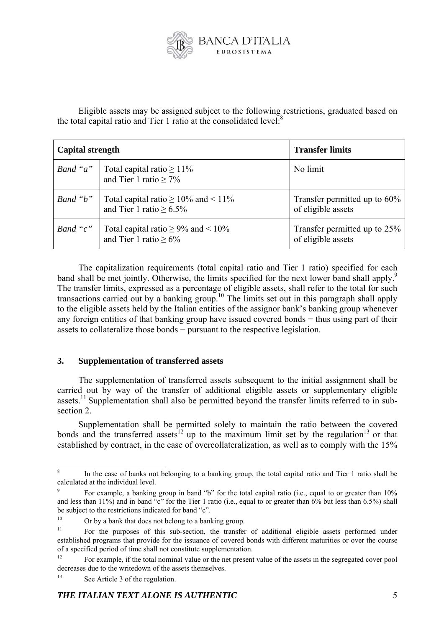

Eligible assets may be assigned subject to the following restrictions, graduated based on the total capital ratio and Tier 1 ratio at the consolidated level: $8$ 

| <b>Capital strength</b> |                                                                                  | <b>Transfer limits</b>                             |
|-------------------------|----------------------------------------------------------------------------------|----------------------------------------------------|
|                         | <i>Band "a"</i>   Total capital ratio $\geq 11\%$<br>and Tier 1 ratio $\geq 7\%$ | No limit                                           |
| Band "b"                | Total capital ratio $\geq 10\%$ and < 11%<br>and Tier 1 ratio $\geq 6.5\%$       | Transfer permitted up to 60%<br>of eligible assets |
| Band " $c$ "            | Total capital ratio $\geq$ 9% and < 10%<br>and Tier 1 ratio $\geq 6\%$           | Transfer permitted up to 25%<br>of eligible assets |

The capitalization requirements (total capital ratio and Tier 1 ratio) specified for each band shall be met jointly. Otherwise, the limits specified for the next lower band shall apply.<sup>9</sup> The transfer limits, expressed as a percentage of eligible assets, shall refer to the total for such transactions carried out by a banking group.<sup>10</sup> The limits set out in this paragraph shall apply to the eligible assets held by the Italian entities of the assignor bank's banking group whenever any foreign entities of that banking group have issued covered bonds − thus using part of their assets to collateralize those bonds − pursuant to the respective legislation.

## **3. Supplementation of transferred assets**

The supplementation of transferred assets subsequent to the initial assignment shall be carried out by way of the transfer of additional eligible assets or supplementary eligible assets.<sup>11</sup> Supplementation shall also be permitted beyond the transfer limits referred to in subsection 2.

Supplementation shall be permitted solely to maintain the ratio between the covered bonds and the transferred assets<sup>12</sup> up to the maximum limit set by the regulation<sup>13</sup> or that established by contract, in the case of overcollateralization, as well as to comply with the 15%

 $\frac{1}{8}$  In the case of banks not belonging to a banking group, the total capital ratio and Tier 1 ratio shall be calculated at the individual level.

<sup>9</sup> For example, a banking group in band "b" for the total capital ratio (i.e., equal to or greater than 10% and less than 11%) and in band "c" for the Tier 1 ratio (i.e., equal to or greater than 6% but less than 6.5%) shall be subject to the restrictions indicated for band "c".

<sup>&</sup>lt;sup>10</sup> Or by a bank that does not belong to a banking group.

<sup>&</sup>lt;sup>11</sup> For the purposes of this sub-section, the transfer of additional eligible assets performed under established programs that provide for the issuance of covered bonds with different maturities or over the course of a specified period of time shall not constitute supplementation.

<sup>&</sup>lt;sup>12</sup> For example, if the total nominal value or the net present value of the assets in the segregated cover pool decreases due to the writedown of the assets themselves.

See Article 3 of the regulation.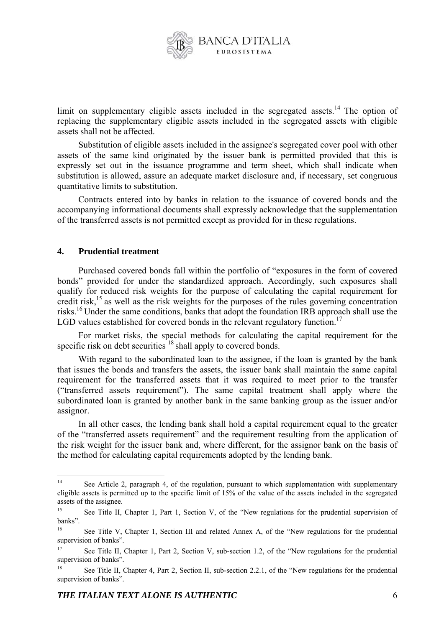

limit on supplementary eligible assets included in the segregated assets.<sup>14</sup> The option of replacing the supplementary eligible assets included in the segregated assets with eligible assets shall not be affected.

Substitution of eligible assets included in the assignee's segregated cover pool with other assets of the same kind originated by the issuer bank is permitted provided that this is expressly set out in the issuance programme and term sheet, which shall indicate when substitution is allowed, assure an adequate market disclosure and, if necessary, set congruous quantitative limits to substitution.

Contracts entered into by banks in relation to the issuance of covered bonds and the accompanying informational documents shall expressly acknowledge that the supplementation of the transferred assets is not permitted except as provided for in these regulations.

#### **4. Prudential treatment**

Purchased covered bonds fall within the portfolio of "exposures in the form of covered bonds" provided for under the standardized approach. Accordingly, such exposures shall qualify for reduced risk weights for the purpose of calculating the capital requirement for credit risk, $15$  as well as the risk weights for the purposes of the rules governing concentration risks.16 Under the same conditions, banks that adopt the foundation IRB approach shall use the LGD values established for covered bonds in the relevant regulatory function.<sup>17</sup>

For market risks, the special methods for calculating the capital requirement for the specific risk on debt securities<sup>18</sup> shall apply to covered bonds.

With regard to the subordinated loan to the assignee, if the loan is granted by the bank that issues the bonds and transfers the assets, the issuer bank shall maintain the same capital requirement for the transferred assets that it was required to meet prior to the transfer ("transferred assets requirement"). The same capital treatment shall apply where the subordinated loan is granted by another bank in the same banking group as the issuer and/or assignor.

In all other cases, the lending bank shall hold a capital requirement equal to the greater of the "transferred assets requirement" and the requirement resulting from the application of the risk weight for the issuer bank and, where different, for the assignor bank on the basis of the method for calculating capital requirements adopted by the lending bank.

<sup>1</sup> See Article 2, paragraph 4, of the regulation, pursuant to which supplementation with supplementary eligible assets is permitted up to the specific limit of 15% of the value of the assets included in the segregated assets of the assignee.

See Title II, Chapter 1, Part 1, Section V, of the "New regulations for the prudential supervision of banks".

<sup>&</sup>lt;sup>16</sup> See Title V, Chapter 1, Section III and related Annex A, of the "New regulations for the prudential supervision of banks".

<sup>&</sup>lt;sup>17</sup> See Title II, Chapter 1, Part 2, Section V, sub-section 1.2, of the "New regulations for the prudential supervision of banks".

<sup>&</sup>lt;sup>18</sup> See Title II, Chapter 4, Part 2, Section II, sub-section 2.2.1, of the "New regulations for the prudential supervision of banks".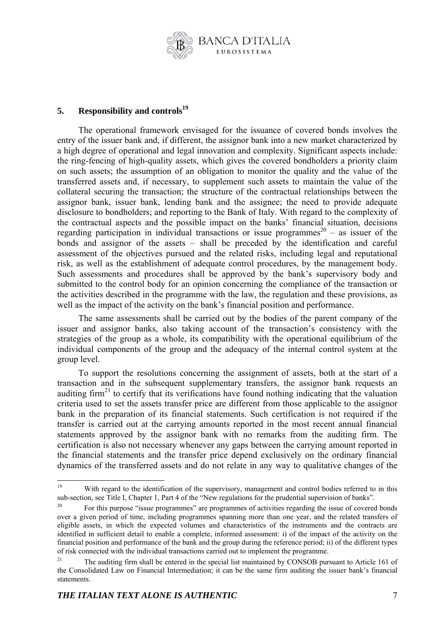

# **5.** Responsibility and controls<sup>19</sup>

The operational framework envisaged for the issuance of covered bonds involves the entry of the issuer bank and, if different, the assignor bank into a new market characterized by a high degree of operational and legal innovation and complexity. Significant aspects include: the ring-fencing of high-quality assets, which gives the covered bondholders a priority claim on such assets; the assumption of an obligation to monitor the quality and the value of the transferred assets and, if necessary, to supplement such assets to maintain the value of the collateral securing the transaction; the structure of the contractual relationships between the assignor bank, issuer bank, lending bank and the assignee; the need to provide adequate disclosure to bondholders; and reporting to the Bank of Italy. With regard to the complexity of the contractual aspects and the possible impact on the banks' financial situation, decisions regarding participation in individual transactions or issue programmes<sup>20</sup> – as issuer of the bonds and assignor of the assets – shall be preceded by the identification and careful assessment of the objectives pursued and the related risks, including legal and reputational risk, as well as the establishment of adequate control procedures, by the management body. Such assessments and procedures shall be approved by the bank's supervisory body and submitted to the control body for an opinion concerning the compliance of the transaction or the activities described in the programme with the law, the regulation and these provisions, as well as the impact of the activity on the bank's financial position and performance.

The same assessments shall be carried out by the bodies of the parent company of the issuer and assignor banks, also taking account of the transaction's consistency with the strategies of the group as a whole, its compatibility with the operational equilibrium of the individual components of the group and the adequacy of the internal control system at the group level.

To support the resolutions concerning the assignment of assets, both at the start of a transaction and in the subsequent supplementary transfers, the assignor bank requests an auditing firm<sup>21</sup> to certify that its verifications have found nothing indicating that the valuation criteria used to set the assets transfer price are different from those applicable to the assignor bank in the preparation of its financial statements. Such certification is not required if the transfer is carried out at the carrying amounts reported in the most recent annual financial statements approved by the assignor bank with no remarks from the auditing firm. The certification is also not necessary whenever any gaps between the carrying amount reported in the financial statements and the transfer price depend exclusively on the ordinary financial dynamics of the transferred assets and do not relate in any way to qualitative changes of the

 $19$ With regard to the identification of the supervisory, management and control bodies referred to in this sub-section, see Title I, Chapter 1, Part 4 of the "New regulations for the prudential supervision of banks".<br><sup>20</sup> For this purpose "issue programmes" are programmes of activities regarding the issue of covered bonds

over a given period of time, including programmes spanning more than one year, and the related transfers of eligible assets, in which the expected volumes and characteristics of the instruments and the contracts are identified in sufficient detail to enable a complete, informed assessment: i) of the impact of the activity on the financial position and performance of the bank and the group during the reference period; ii) of the different types of risk connected with the individual transactions carried out to implement the programme.

<sup>&</sup>lt;sup>21</sup> The auditing firm shall be entered in the special list maintained by CONSOB pursuant to Article 161 of the Consolidated Law on Financial Intermediation; it can be the same firm auditing the issuer bank's financial statements.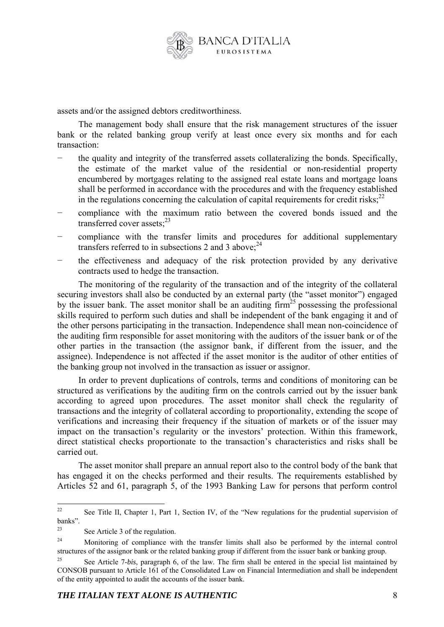

assets and/or the assigned debtors creditworthiness.

The management body shall ensure that the risk management structures of the issuer bank or the related banking group verify at least once every six months and for each transaction:

- the quality and integrity of the transferred assets collateralizing the bonds. Specifically, the estimate of the market value of the residential or non-residential property encumbered by mortgages relating to the assigned real estate loans and mortgage loans shall be performed in accordance with the procedures and with the frequency established in the regulations concerning the calculation of capital requirements for credit risks; $^{22}$
- compliance with the maximum ratio between the covered bonds issued and the transferred cover assets; $^{23}$
- compliance with the transfer limits and procedures for additional supplementary transfers referred to in subsections 2 and 3 above;  $2<sup>4</sup>$
- the effectiveness and adequacy of the risk protection provided by any derivative contracts used to hedge the transaction.

The monitoring of the regularity of the transaction and of the integrity of the collateral securing investors shall also be conducted by an external party (the "asset monitor") engaged by the issuer bank. The asset monitor shall be an auditing  $\lim_{n \to \infty} 25$  possessing the professional skills required to perform such duties and shall be independent of the bank engaging it and of the other persons participating in the transaction. Independence shall mean non-coincidence of the auditing firm responsible for asset monitoring with the auditors of the issuer bank or of the other parties in the transaction (the assignor bank, if different from the issuer, and the assignee). Independence is not affected if the asset monitor is the auditor of other entities of the banking group not involved in the transaction as issuer or assignor.

In order to prevent duplications of controls, terms and conditions of monitoring can be structured as verifications by the auditing firm on the controls carried out by the issuer bank according to agreed upon procedures. The asset monitor shall check the regularity of transactions and the integrity of collateral according to proportionality, extending the scope of verifications and increasing their frequency if the situation of markets or of the issuer may impact on the transaction's regularity or the investors' protection. Within this framework, direct statistical checks proportionate to the transaction's characteristics and risks shall be carried out.

The asset monitor shall prepare an annual report also to the control body of the bank that has engaged it on the checks performed and their results. The requirements established by Articles 52 and 61, paragraph 5, of the 1993 Banking Law for persons that perform control

<sup>22</sup> See Title II, Chapter 1, Part 1, Section IV, of the "New regulations for the prudential supervision of banks".

<sup>23</sup> See Article 3 of the regulation.

<sup>&</sup>lt;sup>24</sup> Monitoring of compliance with the transfer limits shall also be performed by the internal control structures of the assignor bank or the related banking group if different from the issuer bank or banking group.

<sup>25</sup> See Article 7-*bis*, paragraph 6, of the law. The firm shall be entered in the special list maintained by CONSOB pursuant to Article 161 of the Consolidated Law on Financial Intermediation and shall be independent of the entity appointed to audit the accounts of the issuer bank.